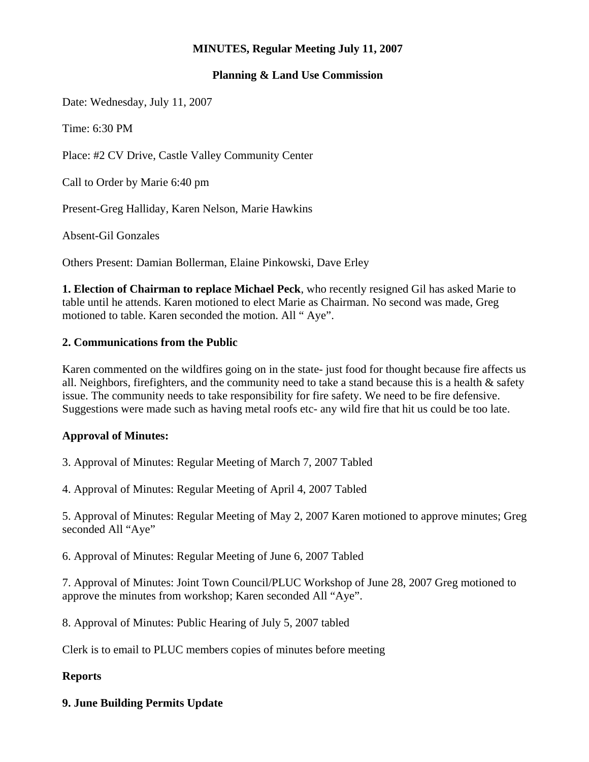## **MINUTES, Regular Meeting July 11, 2007**

#### **Planning & Land Use Commission**

Date: Wednesday, July 11, 2007

Time: 6:30 PM

Place: #2 CV Drive, Castle Valley Community Center

Call to Order by Marie 6:40 pm

Present-Greg Halliday, Karen Nelson, Marie Hawkins

Absent-Gil Gonzales

Others Present: Damian Bollerman, Elaine Pinkowski, Dave Erley

**1. Election of Chairman to replace Michael Peck**, who recently resigned Gil has asked Marie to table until he attends. Karen motioned to elect Marie as Chairman. No second was made, Greg motioned to table. Karen seconded the motion. All " Aye".

#### **2. Communications from the Public**

Karen commented on the wildfires going on in the state- just food for thought because fire affects us all. Neighbors, firefighters, and the community need to take a stand because this is a health & safety issue. The community needs to take responsibility for fire safety. We need to be fire defensive. Suggestions were made such as having metal roofs etc- any wild fire that hit us could be too late.

## **Approval of Minutes:**

3. Approval of Minutes: Regular Meeting of March 7, 2007 Tabled

4. Approval of Minutes: Regular Meeting of April 4, 2007 Tabled

5. Approval of Minutes: Regular Meeting of May 2, 2007 Karen motioned to approve minutes; Greg seconded All "Aye"

6. Approval of Minutes: Regular Meeting of June 6, 2007 Tabled

7. Approval of Minutes: Joint Town Council/PLUC Workshop of June 28, 2007 Greg motioned to approve the minutes from workshop; Karen seconded All "Aye".

8. Approval of Minutes: Public Hearing of July 5, 2007 tabled

Clerk is to email to PLUC members copies of minutes before meeting

## **Reports**

## **9. June Building Permits Update**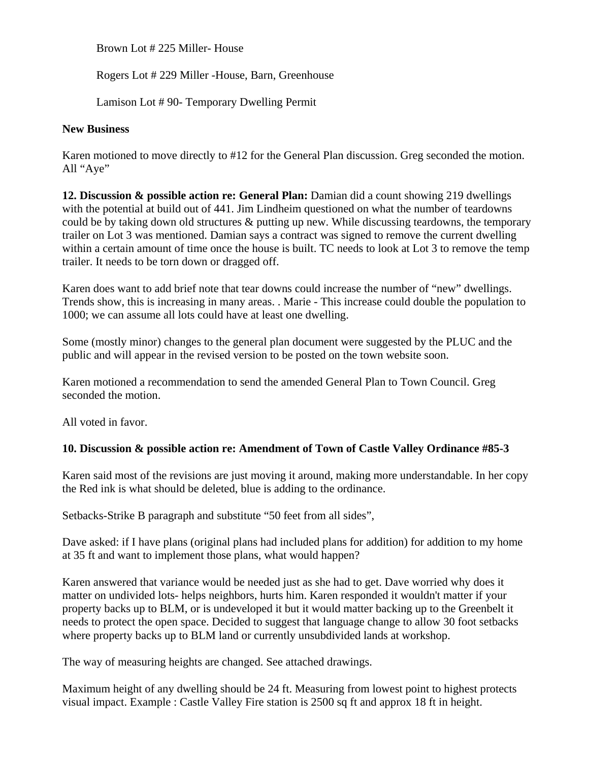Brown Lot # 225 Miller- House

Rogers Lot # 229 Miller -House, Barn, Greenhouse

Lamison Lot # 90- Temporary Dwelling Permit

#### **New Business**

Karen motioned to move directly to #12 for the General Plan discussion. Greg seconded the motion. All "Aye"

**12. Discussion & possible action re: General Plan:** Damian did a count showing 219 dwellings with the potential at build out of 441. Jim Lindheim questioned on what the number of teardowns could be by taking down old structures & putting up new. While discussing teardowns, the temporary trailer on Lot 3 was mentioned. Damian says a contract was signed to remove the current dwelling within a certain amount of time once the house is built. TC needs to look at Lot 3 to remove the temp trailer. It needs to be torn down or dragged off.

Karen does want to add brief note that tear downs could increase the number of "new" dwellings. Trends show, this is increasing in many areas. . Marie - This increase could double the population to 1000; we can assume all lots could have at least one dwelling.

Some (mostly minor) changes to the general plan document were suggested by the PLUC and the public and will appear in the revised version to be posted on the town website soon.

Karen motioned a recommendation to send the amended General Plan to Town Council. Greg seconded the motion.

All voted in favor.

## **10. Discussion & possible action re: Amendment of Town of Castle Valley Ordinance #85-3**

Karen said most of the revisions are just moving it around, making more understandable. In her copy the Red ink is what should be deleted, blue is adding to the ordinance.

Setbacks-Strike B paragraph and substitute "50 feet from all sides",

Dave asked: if I have plans (original plans had included plans for addition) for addition to my home at 35 ft and want to implement those plans, what would happen?

Karen answered that variance would be needed just as she had to get. Dave worried why does it matter on undivided lots- helps neighbors, hurts him. Karen responded it wouldn't matter if your property backs up to BLM, or is undeveloped it but it would matter backing up to the Greenbelt it needs to protect the open space. Decided to suggest that language change to allow 30 foot setbacks where property backs up to BLM land or currently unsubdivided lands at workshop.

The way of measuring heights are changed. See attached drawings.

Maximum height of any dwelling should be 24 ft. Measuring from lowest point to highest protects visual impact. Example : Castle Valley Fire station is 2500 sq ft and approx 18 ft in height.